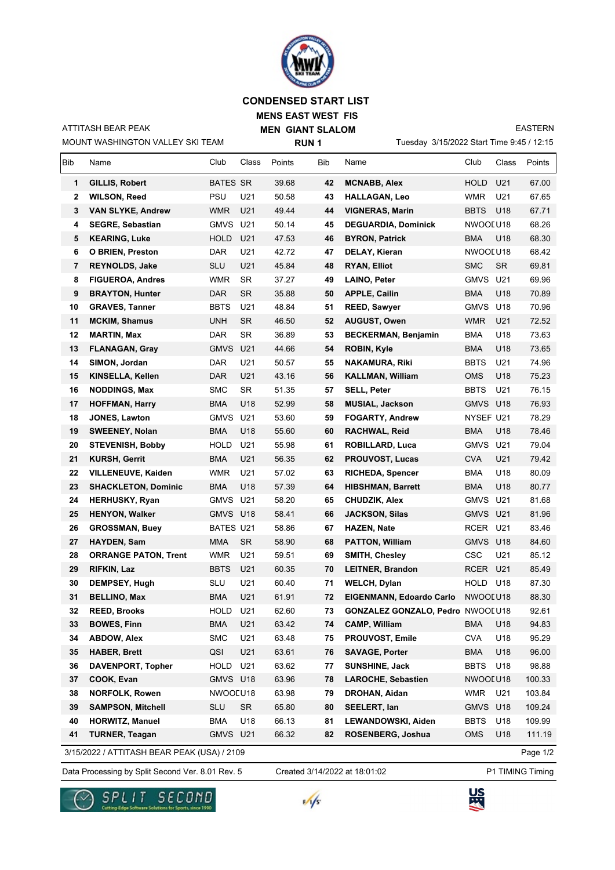

## **CONDENSED START LIST**

**MENS EAST WEST FIS MEN GIANT SLALOM**

MOUNT WASHINGTON VALLEY SKI TEAM ATTITASH BEAR PEAK

**RUN 1**

Tuesday 3/15/2022 Start Time 9:45 / 12:15

EASTERN

| <b>Bib</b>   | Name                                        | Club             | Class     | Points | Bib | Name                                    | Club        | Class     | Points   |
|--------------|---------------------------------------------|------------------|-----------|--------|-----|-----------------------------------------|-------------|-----------|----------|
| 1            | GILLIS, Robert                              | <b>BATES SR</b>  |           | 39.68  | 42  | <b>MCNABB, Alex</b>                     | HOLD        | U21       | 67.00    |
| $\mathbf{2}$ | <b>WILSON, Reed</b>                         | <b>PSU</b>       | U21       | 50.58  | 43  | <b>HALLAGAN, Leo</b>                    | <b>WMR</b>  | U21       | 67.65    |
| 3            | <b>VAN SLYKE, Andrew</b>                    | WMR              | U21       | 49.44  | 44  | <b>VIGNERAS, Marin</b>                  | <b>BBTS</b> | U18       | 67.71    |
| 4            | <b>SEGRE, Sebastian</b>                     | GMVS U21         |           | 50.14  | 45  | <b>DEGUARDIA, Dominick</b>              | NWOOLU18    |           | 68.26    |
| 5            | <b>KEARING, Luke</b>                        | <b>HOLD</b>      | U21       | 47.53  | 46  | <b>BYRON, Patrick</b>                   | <b>BMA</b>  | U18       | 68.30    |
| 6            | <b>O BRIEN, Preston</b>                     | <b>DAR</b>       | U21       | 42.72  | 47  | DELAY, Kieran                           | NWOOL U18   |           | 68.42    |
| 7            | REYNOLDS, Jake                              | <b>SLU</b>       | U21       | 45.84  | 48  | <b>RYAN, Elliot</b>                     | <b>SMC</b>  | <b>SR</b> | 69.81    |
| 8            | <b>FIGUEROA, Andres</b>                     | <b>WMR</b>       | <b>SR</b> | 37.27  | 49  | LAINO, Peter                            | <b>GMVS</b> | U21       | 69.96    |
| 9            | <b>BRAYTON, Hunter</b>                      | DAR              | SR        | 35.88  | 50  | <b>APPLE, Cailin</b>                    | BMA         | U18       | 70.89    |
| 10           | <b>GRAVES, Tanner</b>                       | <b>BBTS</b>      | U21       | 48.84  | 51  | <b>REED, Sawyer</b>                     | GMVS        | U18       | 70.96    |
| 11           | <b>MCKIM, Shamus</b>                        | <b>UNH</b>       | SR        | 46.50  | 52  | <b>AUGUST, Owen</b>                     | WMR         | U21       | 72.52    |
| 12           | <b>MARTIN, Max</b>                          | DAR              | <b>SR</b> | 36.89  | 53  | <b>BECKERMAN, Benjamin</b>              | BMA         | U18       | 73.63    |
| 13           | <b>FLANAGAN, Gray</b>                       | <b>GMVS</b>      | U21       | 44.66  | 54  | ROBIN, Kyle                             | <b>BMA</b>  | U18       | 73.65    |
| 14           | SIMON, Jordan                               | <b>DAR</b>       | U21       | 50.57  | 55  | <b>NAKAMURA, Riki</b>                   | <b>BBTS</b> | U21       | 74.96    |
| 15           | KINSELLA, Kellen                            | <b>DAR</b>       | U21       | 43.16  | 56  | <b>KALLMAN, William</b>                 | <b>OMS</b>  | U18       | 75.23    |
| 16           | <b>NODDINGS, Max</b>                        | <b>SMC</b>       | <b>SR</b> | 51.35  | 57  | <b>SELL, Peter</b>                      | <b>BBTS</b> | U21       | 76.15    |
| 17           | <b>HOFFMAN, Harry</b>                       | <b>BMA</b>       | U18       | 52.99  | 58  | <b>MUSIAL, Jackson</b>                  | GMVS U18    |           | 76.93    |
| 18           | JONES, Lawton                               | GMVS U21         |           | 53.60  | 59  | <b>FOGARTY, Andrew</b>                  | NYSEF U21   |           | 78.29    |
| 19           | <b>SWEENEY, Nolan</b>                       | BMA              | U18       | 55.60  | 60  | RACHWAL, Reid                           | <b>BMA</b>  | U18       | 78.46    |
| 20           | <b>STEVENISH, Bobby</b>                     | <b>HOLD</b>      | U21       | 55.98  | 61  | <b>ROBILLARD, Luca</b>                  | GMVS        | U21       | 79.04    |
| 21           | <b>KURSH, Gerrit</b>                        | BMA              | U21       | 56.35  | 62  | <b>PROUVOST, Lucas</b>                  | <b>CVA</b>  | U21       | 79.42    |
| 22           | <b>VILLENEUVE, Kaiden</b>                   | <b>WMR</b>       | U21       | 57.02  | 63  | <b>RICHEDA, Spencer</b>                 | BMA         | U18       | 80.09    |
| 23           | <b>SHACKLETON, Dominic</b>                  | <b>BMA</b>       | U18       | 57.39  | 64  | <b>HIBSHMAN, Barrett</b>                | <b>BMA</b>  | U18       | 80.77    |
| 24           | <b>HERHUSKY, Ryan</b>                       | GMVS U21         |           | 58.20  | 65  | CHUDZIK, Alex                           | <b>GMVS</b> | U21       | 81.68    |
| 25           | <b>HENYON, Walker</b>                       | GMVS U18         |           | 58.41  | 66  | <b>JACKSON, Silas</b>                   | GMVS U21    |           | 81.96    |
| 26           | <b>GROSSMAN, Buey</b>                       | <b>BATES U21</b> |           | 58.86  | 67  | <b>HAZEN, Nate</b>                      | RCER        | U21       | 83.46    |
| 27           | <b>HAYDEN, Sam</b>                          | MMA              | <b>SR</b> | 58.90  | 68  | <b>PATTON, William</b>                  | GMVS U18    |           | 84.60    |
| 28           | <b>ORRANGE PATON, Trent</b>                 | WMR              | U21       | 59.51  | 69  | <b>SMITH, Chesley</b>                   | <b>CSC</b>  | U21       | 85.12    |
| 29           | RIFKIN, Laz                                 | <b>BBTS</b>      | U21       | 60.35  | 70  | <b>LEITNER, Brandon</b>                 | RCER        | U21       | 85.49    |
| 30           | DEMPSEY, Hugh                               | <b>SLU</b>       | U21       | 60.40  | 71  | <b>WELCH, Dylan</b>                     | HOLD        | U18       | 87.30    |
| 31           | <b>BELLINO, Max</b>                         | <b>BMA</b>       | U21       | 61.91  | 72  | <b>EIGENMANN, Edoardo Carlo</b>         | NWOOLU18    |           | 88.30    |
| 32           | <b>REED. Brooks</b>                         | HOLD             | U21       | 62.60  | 73  | <b>GONZALEZ GONZALO, Pedro NWOOLU18</b> |             |           | 92.61    |
| 33           | <b>BOWES, Finn</b>                          | <b>BMA</b>       | U21       | 63.42  | 74  | <b>CAMP, William</b>                    | <b>BMA</b>  | U18       | 94.83    |
| 34           | <b>ABDOW, Alex</b>                          | <b>SMC</b>       | U21       | 63.48  | 75  | PROUVOST, Emile                         | <b>CVA</b>  | U18       | 95.29    |
| 35           | <b>HABER, Brett</b>                         | QSI              | U21       | 63.61  | 76  | <b>SAVAGE, Porter</b>                   | <b>BMA</b>  | U18       | 96.00    |
| 36           | <b>DAVENPORT, Topher</b>                    | <b>HOLD</b>      | U21       | 63.62  | 77  | <b>SUNSHINE, Jack</b>                   | <b>BBTS</b> | U18       | 98.88    |
| 37           | COOK, Evan                                  | GMVS U18         |           | 63.96  | 78  | <b>LAROCHE, Sebastien</b>               | NWOOLU18    |           | 100.33   |
| 38           | <b>NORFOLK, Rowen</b>                       | NWOOLU18         |           | 63.98  | 79  | DROHAN, Aidan                           | WMR         | U21       | 103.84   |
| 39           | <b>SAMPSON, Mitchell</b>                    | SLU              | <b>SR</b> | 65.80  | 80  | SEELERT, Ian                            | <b>GMVS</b> | U18       | 109.24   |
| 40           | <b>HORWITZ, Manuel</b>                      | <b>BMA</b>       | U18       | 66.13  | 81  | LEWANDOWSKI, Aiden                      | <b>BBTS</b> | U18       | 109.99   |
| 41           | <b>TURNER, Teagan</b>                       | GMVS U21         |           | 66.32  | 82  | ROSENBERG, Joshua                       | <b>OMS</b>  | U18       | 111.19   |
|              | 3/15/2022 / ATTITASH BEAR PEAK (USA) / 2109 |                  |           |        |     |                                         |             |           | Page 1/2 |

Data Processing by Split Second Ver. 8.01 Rev. 5 Created 3/14/2022 at 18:01:02 P1 TIMING Timing Created 3/14/2022 at 18:01:02